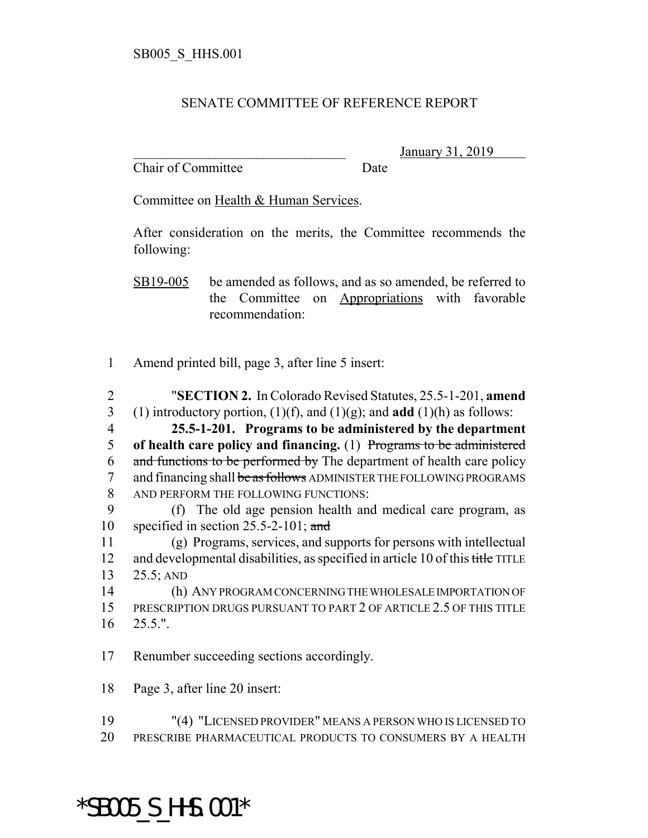## SENATE COMMITTEE OF REFERENCE REPORT

Chair of Committee Date

\_\_\_\_\_\_\_\_\_\_\_\_\_\_\_\_\_\_\_\_\_\_\_\_\_\_\_\_\_\_\_ January 31, 2019

Committee on Health & Human Services.

After consideration on the merits, the Committee recommends the following:

SB19-005 be amended as follows, and as so amended, be referred to the Committee on Appropriations with favorable recommendation:

1 Amend printed bill, page 3, after line 5 insert:

- 2 "**SECTION 2.** In Colorado Revised Statutes, 25.5-1-201, **amend** 3 (1) introductory portion,  $(1)(f)$ , and  $(1)(g)$ ; and **add**  $(1)(h)$  as follows: 4 **25.5-1-201. Programs to be administered by the department**
- 5 **of health care policy and financing.** (1) Programs to be administered 6 and functions to be performed by The department of health care policy 7 and financing shall be as follows ADMINISTER THE FOLLOWING PROGRAMS 8 AND PERFORM THE FOLLOWING FUNCTIONS:
- 9 (f) The old age pension health and medical care program, as 10 specified in section  $25.5-2-101$ ; and

11 (g) Programs, services, and supports for persons with intellectual 12 and developmental disabilities, as specified in article 10 of this title TITLE 13 25.5; AND

14 (h) ANY PROGRAM CONCERNING THE WHOLESALE IMPORTATION OF 15 PRESCRIPTION DRUGS PURSUANT TO PART 2 OF ARTICLE 2.5 OF THIS TITLE 16 25.5.".

17 Renumber succeeding sections accordingly.

18 Page 3, after line 20 insert:

19 "(4) "LICENSED PROVIDER" MEANS A PERSON WHO IS LICENSED TO 20 PRESCRIBE PHARMACEUTICAL PRODUCTS TO CONSUMERS BY A HEALTH

## \*SB005\_S\_HHS.001\*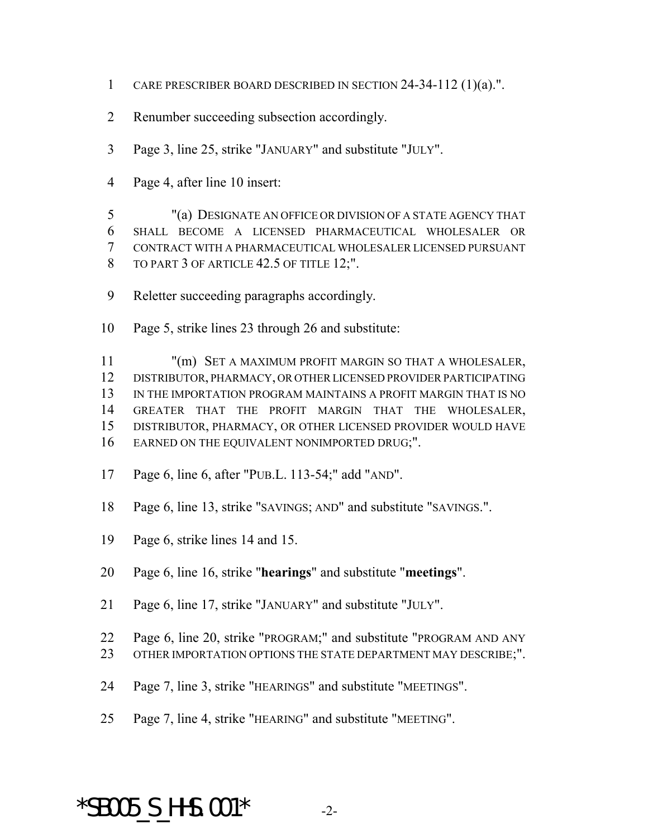- CARE PRESCRIBER BOARD DESCRIBED IN SECTION 24-34-112 (1)(a).".
- Renumber succeeding subsection accordingly.
- Page 3, line 25, strike "JANUARY" and substitute "JULY".
- Page 4, after line 10 insert:

 "(a) DESIGNATE AN OFFICE OR DIVISION OF A STATE AGENCY THAT SHALL BECOME A LICENSED PHARMACEUTICAL WHOLESALER OR CONTRACT WITH A PHARMACEUTICAL WHOLESALER LICENSED PURSUANT 8 TO PART 3 OF ARTICLE 42.5 OF TITLE 12;".

- Reletter succeeding paragraphs accordingly.
- Page 5, strike lines 23 through 26 and substitute:

 "(m) SET A MAXIMUM PROFIT MARGIN SO THAT A WHOLESALER, DISTRIBUTOR, PHARMACY, OR OTHER LICENSED PROVIDER PARTICIPATING 13 IN THE IMPORTATION PROGRAM MAINTAINS A PROFIT MARGIN THAT IS NO GREATER THAT THE PROFIT MARGIN THAT THE WHOLESALER, DISTRIBUTOR, PHARMACY, OR OTHER LICENSED PROVIDER WOULD HAVE 16 EARNED ON THE EQUIVALENT NONIMPORTED DRUG;".

- Page 6, line 6, after "PUB.L. 113-54;" add "AND".
- Page 6, line 13, strike "SAVINGS; AND" and substitute "SAVINGS.".
- Page 6, strike lines 14 and 15.
- Page 6, line 16, strike "**hearings**" and substitute "**meetings**".
- Page 6, line 17, strike "JANUARY" and substitute "JULY".
- Page 6, line 20, strike "PROGRAM;" and substitute "PROGRAM AND ANY
- 23 OTHER IMPORTATION OPTIONS THE STATE DEPARTMENT MAY DESCRIBE;".
- Page 7, line 3, strike "HEARINGS" and substitute "MEETINGS".
- Page 7, line 4, strike "HEARING" and substitute "MEETING".

## $*$ SB005 S HHS.001 $*$  -2-